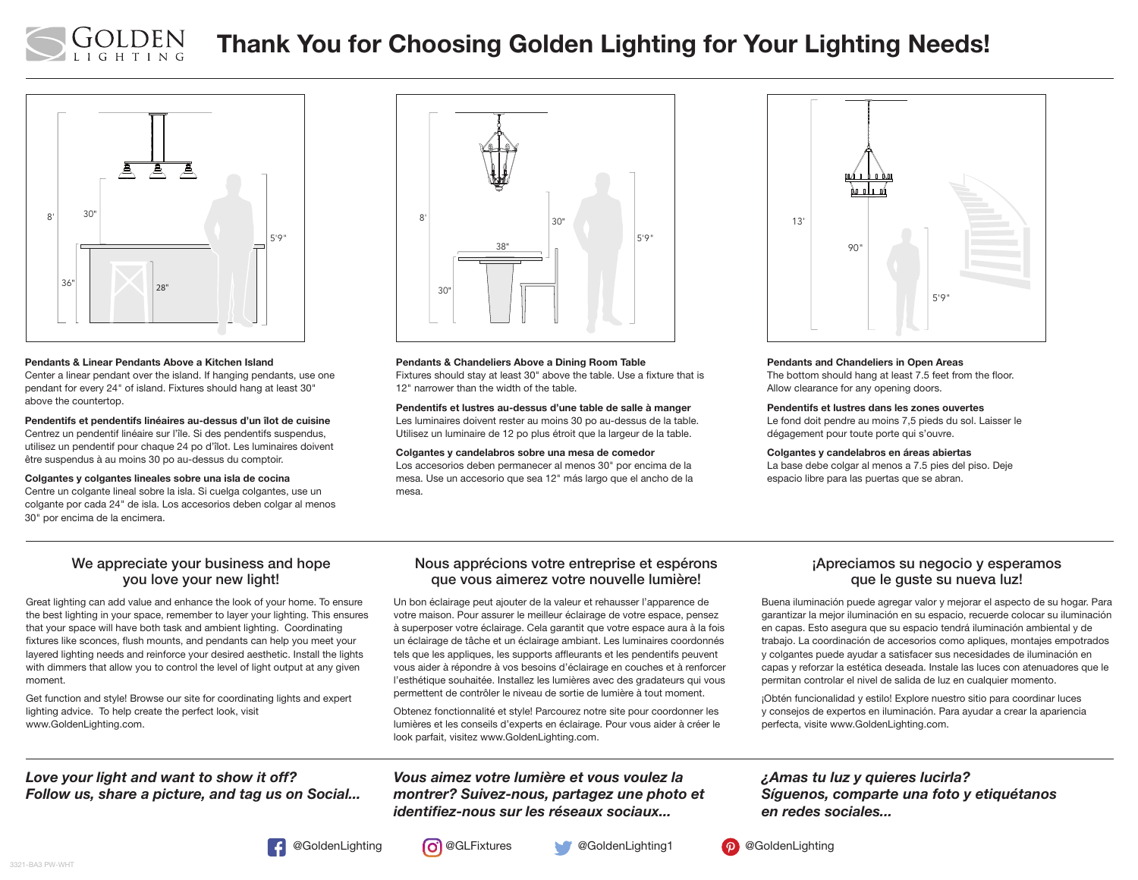

# Thank You for Choosing Golden Lighting for Your Lighting Needs!



#### Pendants & Linear Pendants Above a Kitchen Island

Center a linear pendant over the island. If hanging pendants, use one pendant for every 24" of island. Fixtures should hang at least 30" above the countertop.

Pendentifs et pendentifs linéaires au-dessus d'un îlot de cuisine Centrez un pendentif linéaire sur l'île. Si des pendentifs suspendus, utilisez un pendentif pour chaque 24 po d'îlot. Les luminaires doivent être suspendus à au moins 30 po au-dessus du comptoir.

#### Colgantes y colgantes lineales sobre una isla de cocina

Centre un colgante lineal sobre la isla. Si cuelga colgantes, use un colgante por cada 24" de isla. Los accesorios deben colgar al menos 30" por encima de la encimera.



Pendants & Chandeliers Above a Dining Room Table Fixtures should stay at least 30" above the table. Use a fixture that is 12" narrower than the width of the table.

Pendentifs et lustres au-dessus d'une table de salle à manger Les luminaires doivent rester au moins 30 po au-dessus de la table. Utilisez un luminaire de 12 po plus étroit que la largeur de la table.

Colgantes y candelabros sobre una mesa de comedor

Los accesorios deben permanecer al menos 30" por encima de la mesa. Use un accesorio que sea 12" más largo que el ancho de la mesa.



#### Pendants and Chandeliers in Open Areas

The bottom should hang at least 7.5 feet from the floor. Allow clearance for any opening doors.

#### Pendentifs et lustres dans les zones ouvertes

Le fond doit pendre au moins 7,5 pieds du sol. Laisser le dégagement pour toute porte qui s'ouvre.

#### Colgantes y candelabros en áreas abiertas

La base debe colgar al menos a 7.5 pies del piso. Deje espacio libre para las puertas que se abran.

#### We appreciate your business and hope you love your new light!

Great lighting can add value and enhance the look of your home. To ensure the best lighting in your space, remember to layer your lighting. This ensures that your space will have both task and ambient lighting. Coordinating fixtures like sconces, flush mounts, and pendants can help you meet your layered lighting needs and reinforce your desired aesthetic. Install the lights with dimmers that allow you to control the level of light output at any given moment.

Get function and style! Browse our site for coordinating lights and expert lighting advice. To help create the perfect look, visit www.GoldenLighting.com.

# *Love your light and want to show it off? Follow us, share a picture, and tag us on Social...*

#### Nous apprécions votre entreprise et espérons que vous aimerez votre nouvelle lumière!

Un bon éclairage peut ajouter de la valeur et rehausser l'apparence de votre maison. Pour assurer le meilleur éclairage de votre espace, pensez à superposer votre éclairage. Cela garantit que votre espace aura à la fois un éclairage de tâche et un éclairage ambiant. Les luminaires coordonnés tels que les appliques, les supports affleurants et les pendentifs peuvent vous aider à répondre à vos besoins d'éclairage en couches et à renforcer l'esthétique souhaitée. Installez les lumières avec des gradateurs qui vous permettent de contrôler le niveau de sortie de lumière à tout moment.

Obtenez fonctionnalité et style! Parcourez notre site pour coordonner les lumières et les conseils d'experts en éclairage. Pour vous aider à créer le look parfait, visitez www.GoldenLighting.com.

## *Vous aimez votre lumière et vous voulez la montrer? Suivez-nous, partagez une photo et identifiez-nous sur les réseaux sociaux...*

#### ¡Apreciamos su negocio y esperamos que le guste su nueva luz!

Buena iluminación puede agregar valor y mejorar el aspecto de su hogar. Para garantizar la mejor iluminación en su espacio, recuerde colocar su iluminación en capas. Esto asegura que su espacio tendrá iluminación ambiental y de trabajo. La coordinación de accesorios como apliques, montajes empotrados y colgantes puede ayudar a satisfacer sus necesidades de iluminación en capas y reforzar la estética deseada. Instale las luces con atenuadores que le permitan controlar el nivel de salida de luz en cualquier momento.

¡Obtén funcionalidad y estilo! Explore nuestro sitio para coordinar luces y consejos de expertos en iluminación. Para ayudar a crear la apariencia perfecta, visite www.GoldenLighting.com.

## *¿Amas tu luz y quieres lucirla? Síguenos, comparte una foto y etiquétanos en redes sociales...*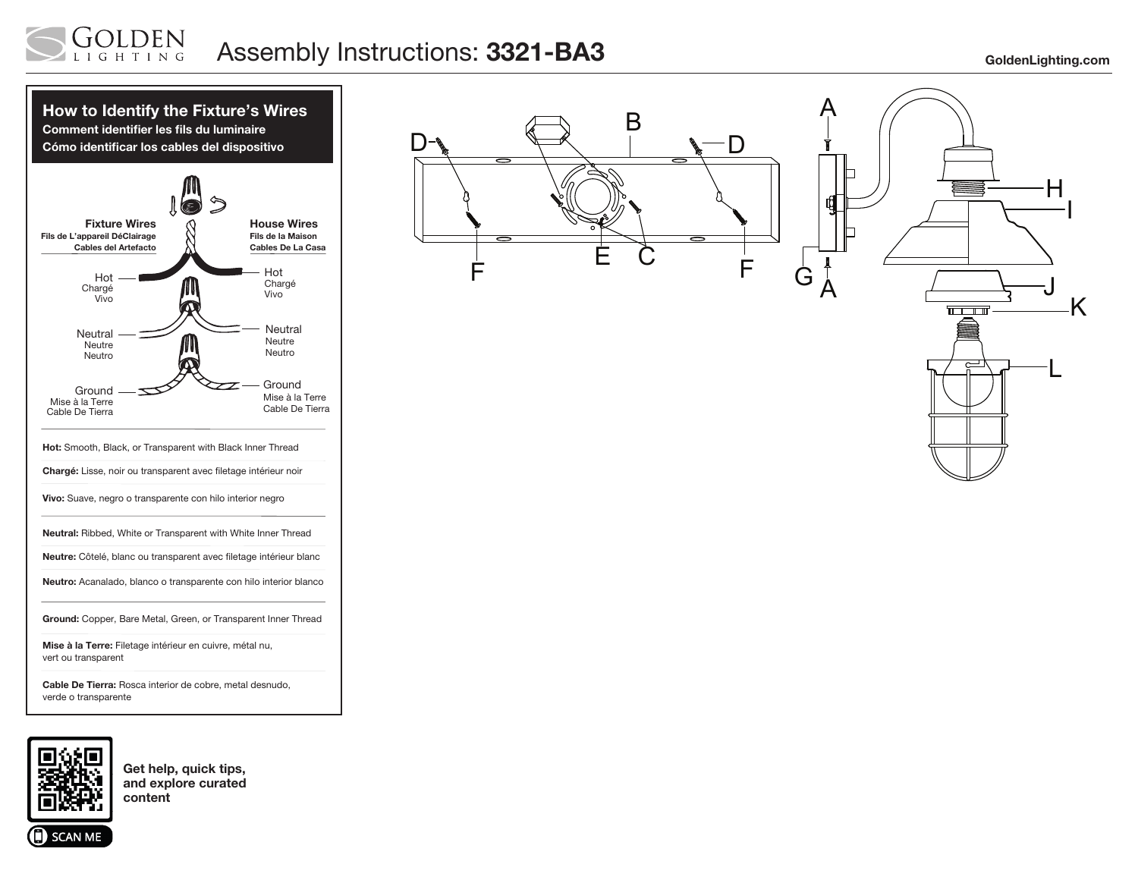#### **LDEN** Assembly Instructions: 3321-BA3 GoldenLighting.com GHTING



Cable De Tierra: Rosca interior de cobre, metal desnudo, verde o transparente



**SCAN ME** 

Get help, quick tips, and explore curated content



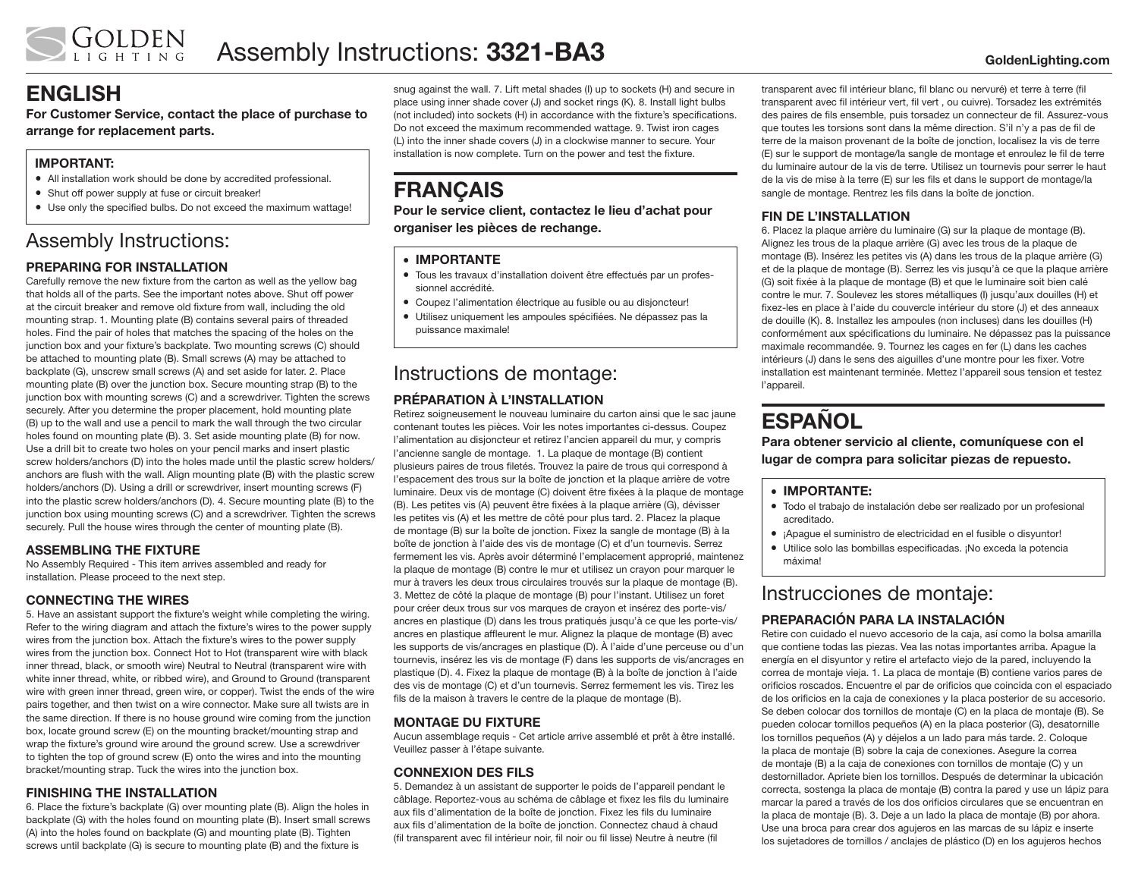# ENGLISH

For Customer Service, contact the place of purchase to arrange for replacement parts.

# IMPORTANT:

- All installation work should be done by accredited professional.
- Shut off power supply at fuse or circuit breaker!
- Use only the specified bulbs. Do not exceed the maximum wattage!

# Assembly Instructions:

## PREPARING FOR INSTALLATION

Carefully remove the new fixture from the carton as well as the yellow bag that holds all of the parts. See the important notes above. Shut off power at the circuit breaker and remove old fixture from wall, including the old mounting strap. 1. Mounting plate (B) contains several pairs of threaded holes. Find the pair of holes that matches the spacing of the holes on the junction box and your fixture's backplate. Two mounting screws (C) should be attached to mounting plate (B). Small screws (A) may be attached to backplate (G), unscrew small screws (A) and set aside for later. 2. Place mounting plate (B) over the junction box. Secure mounting strap (B) to the junction box with mounting screws (C) and a screwdriver. Tighten the screws securely. After you determine the proper placement, hold mounting plate (B) up to the wall and use a pencil to mark the wall through the two circular holes found on mounting plate (B). 3. Set aside mounting plate (B) for now. Use a drill bit to create two holes on your pencil marks and insert plastic screw holders/anchors (D) into the holes made until the plastic screw holders/ anchors are flush with the wall. Align mounting plate (B) with the plastic screw holders/anchors (D). Using a drill or screwdriver, insert mounting screws (F) into the plastic screw holders/anchors (D). 4. Secure mounting plate (B) to the junction box using mounting screws (C) and a screwdriver. Tighten the screws securely. Pull the house wires through the center of mounting plate (B).

## ASSEMBLING THE FIXTURE

No Assembly Required - This item arrives assembled and ready for installation. Please proceed to the next step.

## CONNECTING THE WIRES

5. Have an assistant support the fixture's weight while completing the wiring. Refer to the wiring diagram and attach the fixture's wires to the power supply wires from the junction box. Attach the fixture's wires to the power supply wires from the junction box. Connect Hot to Hot (transparent wire with black inner thread, black, or smooth wire) Neutral to Neutral (transparent wire with white inner thread, white, or ribbed wire), and Ground to Ground (transparent wire with green inner thread, green wire, or copper). Twist the ends of the wire pairs together, and then twist on a wire connector. Make sure all twists are in the same direction. If there is no house ground wire coming from the junction box, locate ground screw (E) on the mounting bracket/mounting strap and wrap the fixture's ground wire around the ground screw. Use a screwdriver to tighten the top of ground screw (E) onto the wires and into the mounting bracket/mounting strap. Tuck the wires into the junction box.

## FINISHING THE INSTALLATION

6. Place the fixture's backplate (G) over mounting plate (B). Align the holes in backplate (G) with the holes found on mounting plate (B). Insert small screws (A) into the holes found on backplate (G) and mounting plate (B). Tighten screws until backplate (G) is secure to mounting plate (B) and the fixture is

snug against the wall. 7. Lift metal shades (I) up to sockets (H) and secure in place using inner shade cover (J) and socket rings (K). 8. Install light bulbs (not included) into sockets (H) in accordance with the fixture's specifications. Do not exceed the maximum recommended wattage. 9. Twist iron cages (L) into the inner shade covers (J) in a clockwise manner to secure. Your installation is now complete. Turn on the power and test the fixture.

# **FRANCAIS**

Pour le service client, contactez le lieu d'achat pour organiser les pièces de rechange.

#### • IMPORTANTE

- Tous les travaux d'installation doivent être effectués par un professionnel accrédité.
- Coupez l'alimentation électrique au fusible ou au disjoncteur!
- Utilisez uniquement les ampoules spécifiées. Ne dépassez pas la puissance maximale!

# Instructions de montage:

## PRÉPARATION À L'INSTALLATION

Retirez soigneusement le nouveau luminaire du carton ainsi que le sac jaune contenant toutes les pièces. Voir les notes importantes ci-dessus. Coupez l'alimentation au disjoncteur et retirez l'ancien appareil du mur, y compris l'ancienne sangle de montage. 1. La plaque de montage (B) contient plusieurs paires de trous filetés. Trouvez la paire de trous qui correspond à l'espacement des trous sur la boîte de jonction et la plaque arrière de votre luminaire. Deux vis de montage (C) doivent être fixées à la plaque de montage (B). Les petites vis (A) peuvent être fixées à la plaque arrière (G), dévisser les petites vis (A) et les mettre de côté pour plus tard. 2. Placez la plaque de montage (B) sur la boîte de jonction. Fixez la sangle de montage (B) à la boîte de jonction à l'aide des vis de montage (C) et d'un tournevis. Serrez fermement les vis. Après avoir déterminé l'emplacement approprié, maintenez la plaque de montage (B) contre le mur et utilisez un crayon pour marquer le mur à travers les deux trous circulaires trouvés sur la plaque de montage (B). 3. Mettez de côté la plaque de montage (B) pour l'instant. Utilisez un foret pour créer deux trous sur vos marques de crayon et insérez des porte-vis/ ancres en plastique (D) dans les trous pratiqués jusqu'à ce que les porte-vis/ ancres en plastique affleurent le mur. Alignez la plaque de montage (B) avec les supports de vis/ancrages en plastique (D). À l'aide d'une perceuse ou d'un tournevis, insérez les vis de montage (F) dans les supports de vis/ancrages en plastique (D). 4. Fixez la plaque de montage (B) à la boîte de jonction à l'aide des vis de montage (C) et d'un tournevis. Serrez fermement les vis. Tirez les fils de la maison à travers le centre de la plaque de montage (B).

## MONTAGE DU FIXTURE

Aucun assemblage requis - Cet article arrive assemblé et prêt à être installé. Veuillez passer à l'étape suivante.

## CONNEXION DES FILS

5. Demandez à un assistant de supporter le poids de l'appareil pendant le câblage. Reportez-vous au schéma de câblage et fixez les fils du luminaire aux fils d'alimentation de la boîte de jonction. Fixez les fils du luminaire aux fils d'alimentation de la boîte de jonction. Connectez chaud à chaud (fil transparent avec fil intérieur noir, fil noir ou fil lisse) Neutre à neutre (fil

transparent avec fil intérieur blanc, fil blanc ou nervuré) et terre à terre (fil transparent avec fil intérieur vert, fil vert , ou cuivre). Torsadez les extrémités des paires de fils ensemble, puis torsadez un connecteur de fil. Assurez-vous que toutes les torsions sont dans la même direction. S'il n'y a pas de fil de terre de la maison provenant de la boîte de jonction, localisez la vis de terre (E) sur le support de montage/la sangle de montage et enroulez le fil de terre du luminaire autour de la vis de terre. Utilisez un tournevis pour serrer le haut de la vis de mise à la terre (E) sur les fils et dans le support de montage/la sangle de montage. Rentrez les fils dans la boîte de jonction.

## FIN DE L'INSTALLATION

6. Placez la plaque arrière du luminaire (G) sur la plaque de montage (B). Alignez les trous de la plaque arrière (G) avec les trous de la plaque de montage (B). Insérez les petites vis (A) dans les trous de la plaque arrière (G) et de la plaque de montage (B). Serrez les vis jusqu'à ce que la plaque arrière (G) soit fixée à la plaque de montage (B) et que le luminaire soit bien calé contre le mur. 7. Soulevez les stores métalliques (I) jusqu'aux douilles (H) et fixez-les en place à l'aide du couvercle intérieur du store (J) et des anneaux de douille (K). 8. Installez les ampoules (non incluses) dans les douilles (H) conformément aux spécifications du luminaire. Ne dépassez pas la puissance maximale recommandée. 9. Tournez les cages en fer (L) dans les caches intérieurs (J) dans le sens des aiguilles d'une montre pour les fixer. Votre installation est maintenant terminée. Mettez l'appareil sous tension et testez l'appareil.

# **ESPAÑOL**

Para obtener servicio al cliente, comuníquese con el lugar de compra para solicitar piezas de repuesto.

#### • IMPORTANTE:

- Todo el trabajo de instalación debe ser realizado por un profesional acreditado.
- ¡Apague el suministro de electricidad en el fusible o disyuntor!
- Utilice solo las bombillas especificadas. ¡No exceda la potencia máxima!

# Instrucciones de montaje:

## PREPARACIÓN PARA LA INSTALACIÓN

Retire con cuidado el nuevo accesorio de la caja, así como la bolsa amarilla que contiene todas las piezas. Vea las notas importantes arriba. Apague la energía en el disyuntor y retire el artefacto viejo de la pared, incluyendo la correa de montaje vieja. 1. La placa de montaje (B) contiene varios pares de orificios roscados. Encuentre el par de orificios que coincida con el espaciado de los orificios en la caja de conexiones y la placa posterior de su accesorio. Se deben colocar dos tornillos de montaje (C) en la placa de montaje (B). Se pueden colocar tornillos pequeños (A) en la placa posterior (G), desatornille los tornillos pequeños (A) y déjelos a un lado para más tarde. 2. Coloque la placa de montaje (B) sobre la caja de conexiones. Asegure la correa de montaje (B) a la caja de conexiones con tornillos de montaje (C) y un destornillador. Apriete bien los tornillos. Después de determinar la ubicación correcta, sostenga la placa de montaje (B) contra la pared y use un lápiz para marcar la pared a través de los dos orificios circulares que se encuentran en la placa de montaje (B). 3. Deje a un lado la placa de montaje (B) por ahora. Use una broca para crear dos agujeros en las marcas de su lápiz e inserte los sujetadores de tornillos / anclajes de plástico (D) en los agujeros hechos